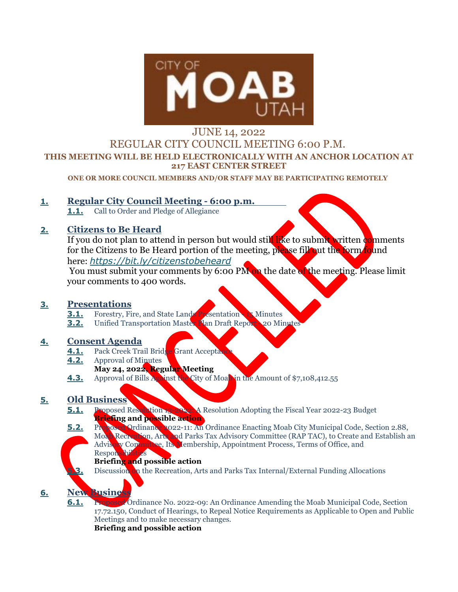

# JUNE 14, 2022 REGULAR CITY COUNCIL MEETING 6:00 P.M. **THIS MEETING WILL BE HELD ELECTRONICALLY WITH AN ANCHOR LOCATION AT 217 EAST CENTER STREET**

**ONE OR MORE COUNCIL MEMBERS AND/OR STAFF MAY BE PARTICIPATING REMOTELY** 

#### **1. Regular City Council Meeting - 6:00 p.m.**

**1.1.** Call to Order and Pledge of Allegiance

## **2. Citizens to Be Heard**

If you do not plan to attend in person but would still like to submit written comments for the Citizens to Be Heard portion of the meeting, please fill out the form found here: *<https://bit.ly/citizenstobeheard>*

You must submit your comments by 6:00 PM on the date of the meeting. Please limit your comments to 400 words.

### **3. Presentations**

- **3.1.** Forestry, Fire, and State Lands Presentation 15 Minutes
- **3.2.** Unified Transportation Master Plan Draft Report 20 Minutes

### **4. Consent Agenda**

- **4.1.** Pack Creek Trail Bridge Grant Acceptance
- **4.2.** Approval of Minutes
- **May 24, 2022, Regular Meeting**
- **4.3.** Approval of Bills Against the City of Moab in the Amount of \$7,108,412.55

### **5. Old Business**

- **5.1.** Proposed Resolution 13-2022: A Resolution Adopting the Fiscal Year 2022-23 Budget **Briefing and possible action**
- **5.2.** Proposed Ordinance 2022-11: An Ordinance Enacting Moab City Municipal Code, Section 2.88, Moab Recreation, Arts and Parks Tax Advisory Committee (RAP TAC), to Create and Establish an
	- Advisory Committee, Its Membership, Appointment Process, Terms of Office, and Responsibilities

#### **Briefing and possible action**

**5.3.** Discussion on the Recreation, Arts and Parks Tax Internal/External Funding Allocations

# **6. New Business**

**6.1. Proposed** Ordinance No. 2022-09: An Ordinance Amending the Moab Municipal Code, Section 17.72.150, Conduct of Hearings, to Repeal Notice Requirements as Applicable to Open and Public Meetings and to make necessary changes.

**Briefing and possible action**